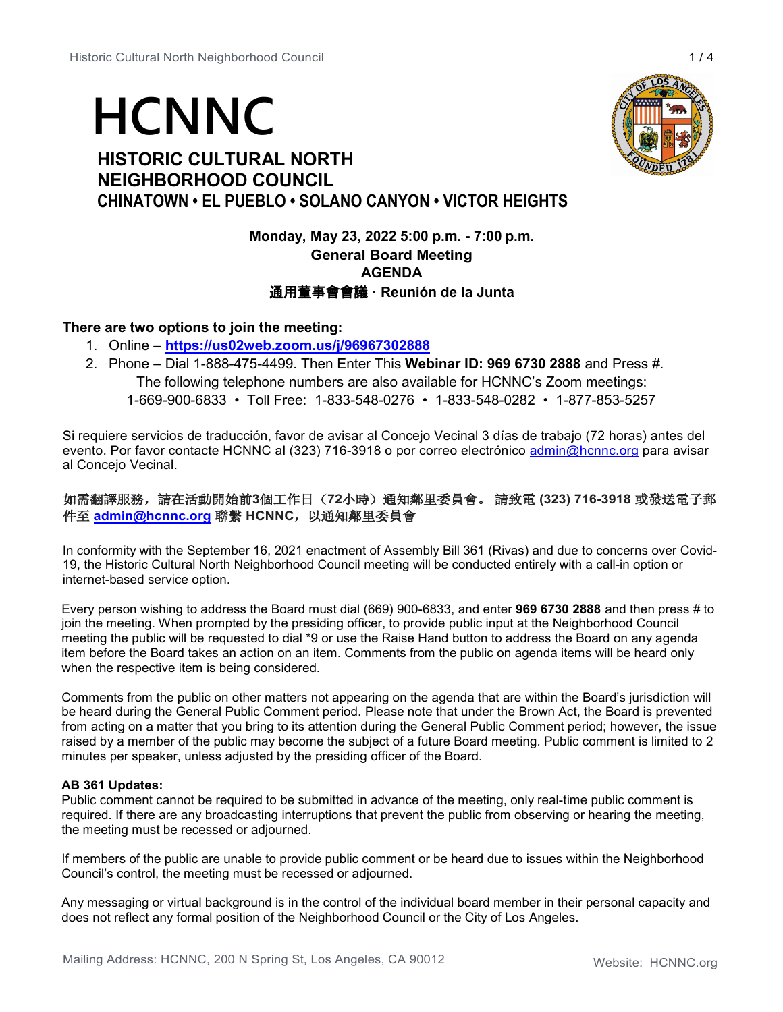# **HCNNC**

# **HISTORIC CULTURAL NORTH NEIGHBORHOOD COUNCIL CHINATOWN • EL PUEBLO • SOLANO CANYON • VICTOR HEIGHTS**

# **Monday, May 23, 2022 5:00 p.m. - 7:00 p.m. General Board Meeting AGENDA** 通用董事會會議 **· Reunión de la Junta**

# **There are two options to join the meeting:**

- 1. Online **<https://us02web.zoom.us/j/96967302888>**
- 2. Phone Dial 1-888-475-4499. Then Enter This **Webinar ID: 969 6730 2888** and Press #. The following telephone numbers are also available for HCNNC's Zoom meetings: 1-669-900-6833 • Toll Free: 1-833-548-0276 • 1-833-548-0282 • 1-877-853-5257

Si requiere servicios de traducción, favor de avisar al Concejo Vecinal 3 días de trabajo (72 horas) antes del evento. Por favor contacte HCNNC al (323) 716-3918 o por correo electrónico [admin@hcnnc.org](mailto:admin@hcnnc.org) para avisar al Concejo Vecinal.

# 如需翻譯服務,請在活動開始前**3**個工作日(**72**小時)通知鄰里委員會。 請致電 **(323) 716-3918** 或發送電子郵 件至 **[admin@hcnnc.org](mailto:admin@hcnnc.org)** 聯繫 **HCNNC**,以通知鄰里委員會

In conformity with the September 16, 2021 enactment of Assembly Bill 361 (Rivas) and due to concerns over Covid-19, the Historic Cultural North Neighborhood Council meeting will be conducted entirely with a call-in option or internet-based service option.

Every person wishing to address the Board must dial (669) 900-6833, and enter **969 6730 2888** and then press # to join the meeting. When prompted by the presiding officer, to provide public input at the Neighborhood Council meeting the public will be requested to dial \*9 or use the Raise Hand button to address the Board on any agenda item before the Board takes an action on an item. Comments from the public on agenda items will be heard only when the respective item is being considered.

Comments from the public on other matters not appearing on the agenda that are within the Board's jurisdiction will be heard during the General Public Comment period. Please note that under the Brown Act, the Board is prevented from acting on a matter that you bring to its attention during the General Public Comment period; however, the issue raised by a member of the public may become the subject of a future Board meeting. Public comment is limited to 2 minutes per speaker, unless adjusted by the presiding officer of the Board.

## **AB 361 Updates:**

Public comment cannot be required to be submitted in advance of the meeting, only real-time public comment is required. If there are any broadcasting interruptions that prevent the public from observing or hearing the meeting, the meeting must be recessed or adjourned.

If members of the public are unable to provide public comment or be heard due to issues within the Neighborhood Council's control, the meeting must be recessed or adjourned.

Any messaging or virtual background is in the control of the individual board member in their personal capacity and does not reflect any formal position of the Neighborhood Council or the City of Los Angeles.

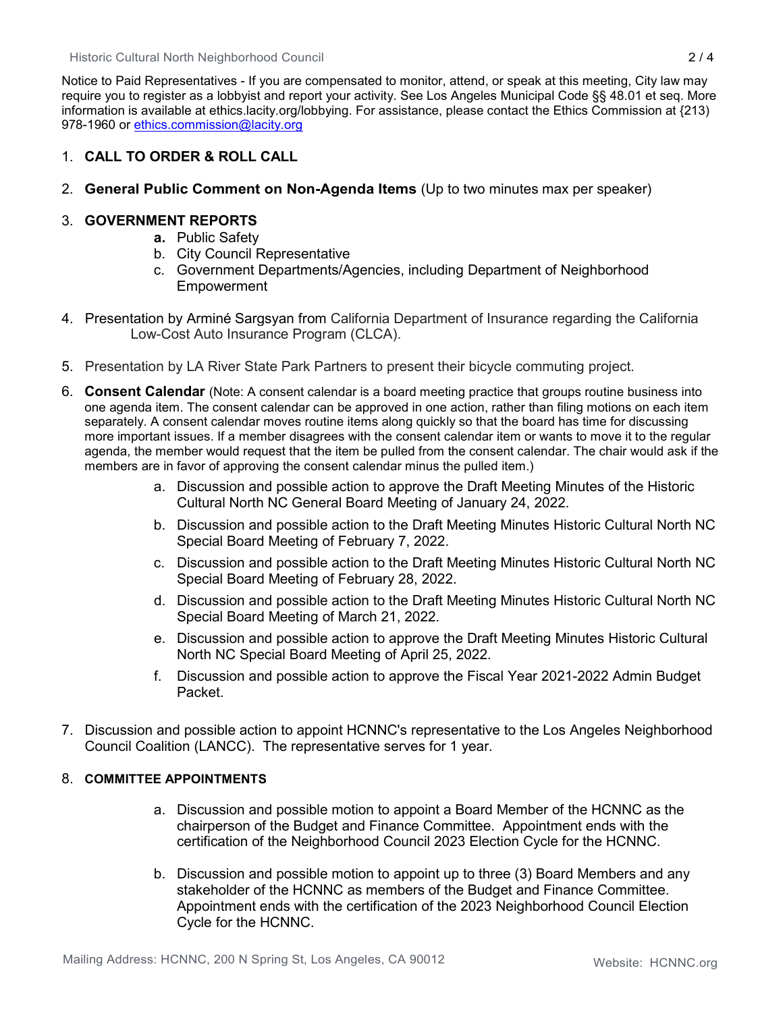Historic Cultural North Neighborhood Council 2 / 4

Notice to Paid Representatives - If you are compensated to monitor, attend, or speak at this meeting, City law may require you to register as a lobbyist and report your activity. See Los Angeles Municipal Code §§ 48.01 et seq. More information is available at ethics.lacity.org/lobbying. For assistance, please contact the Ethics Commission at {213) 978-1960 or [ethics.commission@lacity.org](mailto:ethics.commission@lacity.org)

# 1. **CALL TO ORDER & ROLL CALL**

2. **General Public Comment on Non-Agenda Items** (Up to two minutes max per speaker)

# 3. **GOVERNMENT REPORTS**

- **a.** Public Safety
- b. City Council Representative
- c. Government Departments/Agencies, including Department of Neighborhood **Empowerment**
- 4. Presentation by Arminé Sargsyan from California Department of Insurance regarding the California Low-Cost Auto Insurance Program (CLCA).
- 5. Presentation by LA River State Park Partners to present their bicycle commuting project.
- 6. **Consent Calendar** (Note: A consent calendar is a board meeting practice that groups routine business into one agenda item. The consent calendar can be approved in one action, rather than filing motions on each item separately. A consent calendar moves routine items along quickly so that the board has time for discussing more important issues. If a member disagrees with the consent calendar item or wants to move it to the regular agenda, the member would request that the item be pulled from the consent calendar. The chair would ask if the members are in favor of approving the consent calendar minus the pulled item.)
	- a. Discussion and possible action to approve the Draft Meeting Minutes of the Historic Cultural North NC General Board Meeting of January 24, 2022.
	- b. Discussion and possible action to the Draft Meeting Minutes Historic Cultural North NC Special Board Meeting of February 7, 2022.
	- c. Discussion and possible action to the Draft Meeting Minutes Historic Cultural North NC Special Board Meeting of February 28, 2022.
	- d. Discussion and possible action to the Draft Meeting Minutes Historic Cultural North NC Special Board Meeting of March 21, 2022.
	- e. Discussion and possible action to approve the Draft Meeting Minutes Historic Cultural North NC Special Board Meeting of April 25, 2022.
	- f. Discussion and possible action to approve the Fiscal Year 2021-2022 Admin Budget Packet.
- 7. Discussion and possible action to appoint HCNNC's representative to the Los Angeles Neighborhood Council Coalition (LANCC). The representative serves for 1 year.

# 8. **COMMITTEE APPOINTMENTS**

- a. Discussion and possible motion to appoint a Board Member of the HCNNC as the chairperson of the Budget and Finance Committee. Appointment ends with the certification of the Neighborhood Council 2023 Election Cycle for the HCNNC.
- b. Discussion and possible motion to appoint up to three (3) Board Members and any stakeholder of the HCNNC as members of the Budget and Finance Committee. Appointment ends with the certification of the 2023 Neighborhood Council Election Cycle for the HCNNC.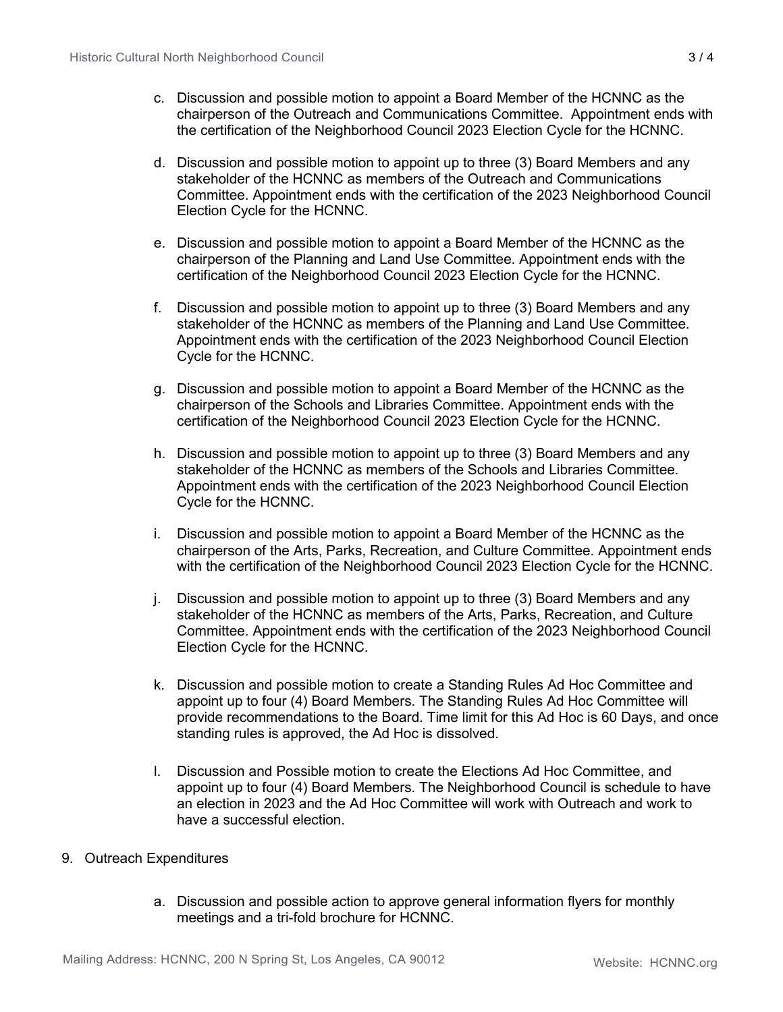- c. Discussion and possible motion to appoint a Board Member of the HCNNC as the chairperson of the Outreach and Communications Committee. Appointment ends with the certification of the Neighborhood Council 2023 Election Cycle for the HCNNC.
- d. Discussion and possible motion to appoint up to three (3) Board Members and any stakeholder of the HCNNC as members of the Outreach and Communications Committee. Appointment ends with the certification of the 2023 Neighborhood Council Election Cycle for the HCNNC.
- e. Discussion and possible motion to appoint a Board Member of the HCNNC as the chairperson of the Planning and Land Use Committee. Appointment ends with the certification of the Neighborhood Council 2023 Election Cycle for the HCNNC.
- f. Discussion and possible motion to appoint up to three (3) Board Members and any stakeholder of the HCNNC as members of the Planning and Land Use Committee. Appointment ends with the certification of the 2023 Neighborhood Council Election Cycle for the HCNNC.
- g. Discussion and possible motion to appoint a Board Member of the HCNNC as the chairperson of the Schools and Libraries Committee. Appointment ends with the certification of the Neighborhood Council 2023 Election Cycle for the HCNNC.
- h. Discussion and possible motion to appoint up to three (3) Board Members and any stakeholder of the HCNNC as members of the Schools and Libraries Committee. Appointment ends with the certification of the 2023 Neighborhood Council Election Cycle for the HCNNC.
- i. Discussion and possible motion to appoint a Board Member of the HCNNC as the chairperson of the Arts, Parks, Recreation, and Culture Committee. Appointment ends with the certification of the Neighborhood Council 2023 Election Cycle for the HCNNC.
- j. Discussion and possible motion to appoint up to three (3) Board Members and any stakeholder of the HCNNC as members of the Arts, Parks, Recreation, and Culture Committee. Appointment ends with the certification of the 2023 Neighborhood Council Election Cycle for the HCNNC.
- k. Discussion and possible motion to create a Standing Rules Ad Hoc Committee and appoint up to four (4) Board Members. The Standing Rules Ad Hoc Committee will provide recommendations to the Board. Time limit for this Ad Hoc is 60 Days, and once standing rules is approved, the Ad Hoc is dissolved.
- l. Discussion and Possible motion to create the Elections Ad Hoc Committee, and appoint up to four (4) Board Members. The Neighborhood Council is schedule to have an election in 2023 and the Ad Hoc Committee will work with Outreach and work to have a successful election.

# 9. Outreach Expenditures

a. Discussion and possible action to approve general information flyers for monthly meetings and a tri-fold brochure for HCNNC.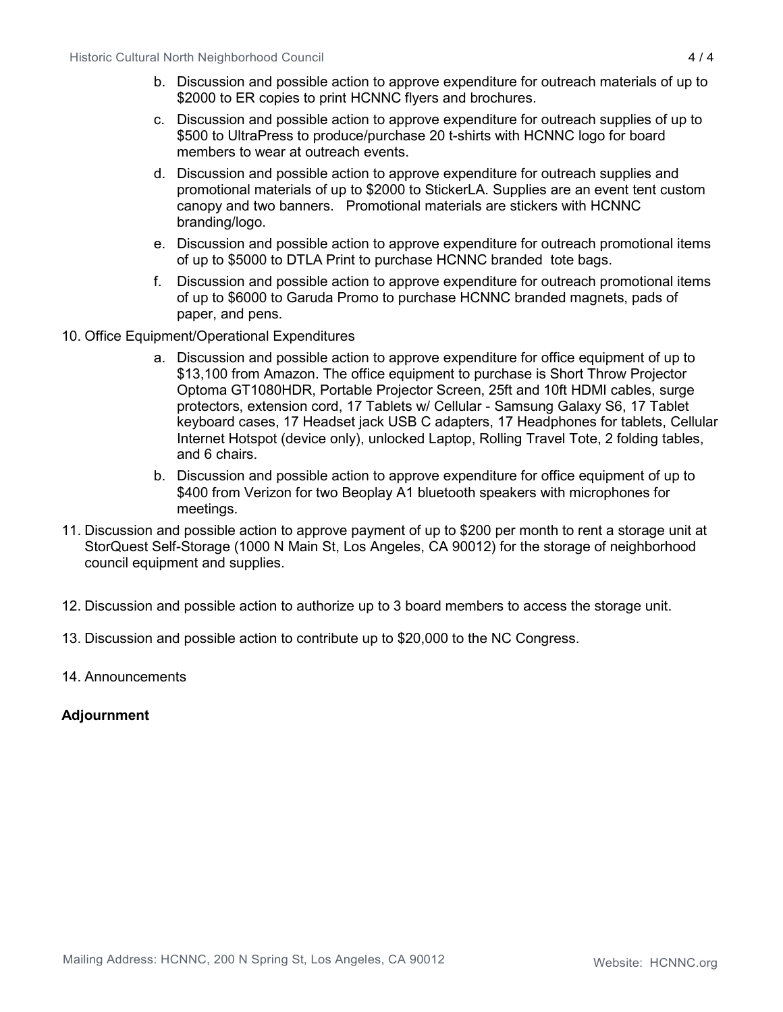- b. Discussion and possible action to approve expenditure for outreach materials of up to \$2000 to ER copies to print HCNNC flyers and brochures.
- c. Discussion and possible action to approve expenditure for outreach supplies of up to \$500 to UltraPress to produce/purchase 20 t-shirts with HCNNC logo for board members to wear at outreach events.
- d. Discussion and possible action to approve expenditure for outreach supplies and promotional materials of up to \$2000 to StickerLA. Supplies are an event tent custom canopy and two banners. Promotional materials are stickers with HCNNC branding/logo.
- e. Discussion and possible action to approve expenditure for outreach promotional items of up to \$5000 to DTLA Print to purchase HCNNC branded tote bags.
- f. Discussion and possible action to approve expenditure for outreach promotional items of up to \$6000 to Garuda Promo to purchase HCNNC branded magnets, pads of paper, and pens.
- 10. Office Equipment/Operational Expenditures
	- a. Discussion and possible action to approve expenditure for office equipment of up to \$13,100 from Amazon. The office equipment to purchase is Short Throw Projector Optoma GT1080HDR, Portable Projector Screen, 25ft and 10ft HDMI cables, surge protectors, extension cord, 17 Tablets w/ Cellular - Samsung Galaxy S6, 17 Tablet keyboard cases, 17 Headset jack USB C adapters, 17 Headphones for tablets, Cellular Internet Hotspot (device only), unlocked Laptop, Rolling Travel Tote, 2 folding tables, and 6 chairs.
	- b. Discussion and possible action to approve expenditure for office equipment of up to \$400 from Verizon for two Beoplay A1 bluetooth speakers with microphones for meetings.
- 11. Discussion and possible action to approve payment of up to \$200 per month to rent a storage unit at StorQuest Self-Storage (1000 N Main St, Los Angeles, CA 90012) for the storage of neighborhood council equipment and supplies.
- 12. Discussion and possible action to authorize up to 3 board members to access the storage unit.
- 13. Discussion and possible action to contribute up to \$20,000 to the NC Congress.
- 14. Announcements

# **Adjournment**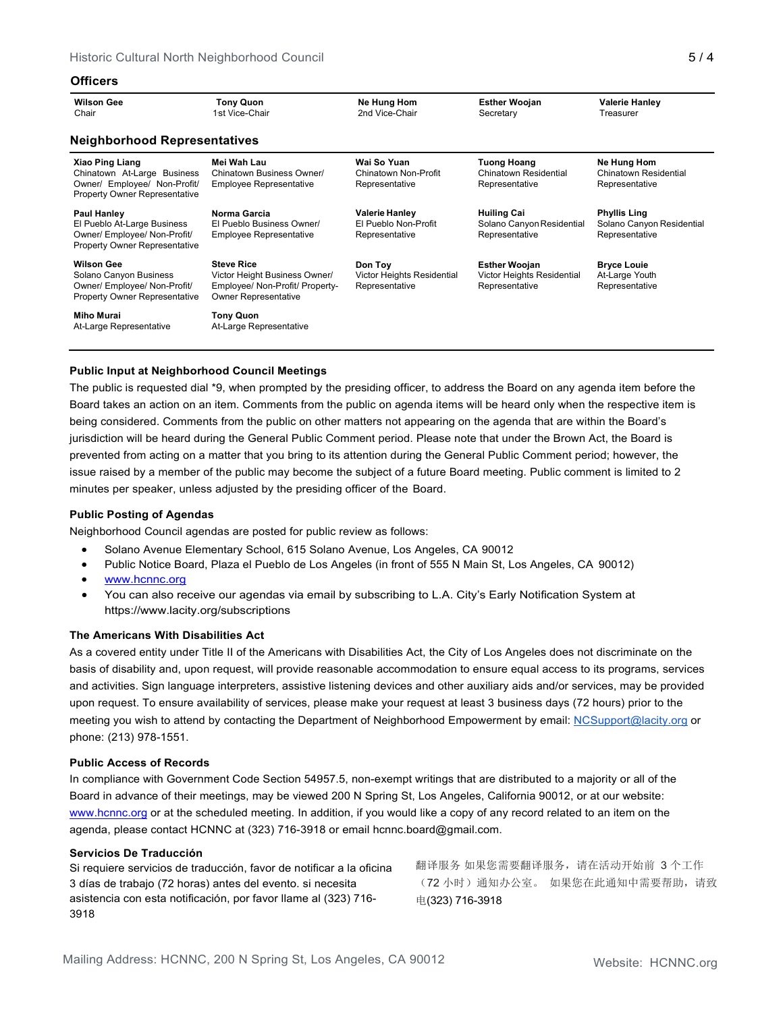### **Officers**

| <b>Wilson Gee</b><br>Chair                                                                                                    | <b>Tony Quon</b><br>1st Vice-Chair                                                                                   | Ne Hung Hom<br>2nd Vice-Chair                                   | <b>Esther Woojan</b><br>Secretary                                    | <b>Valerie Hanley</b><br>Treasurer                                 |  |  |  |
|-------------------------------------------------------------------------------------------------------------------------------|----------------------------------------------------------------------------------------------------------------------|-----------------------------------------------------------------|----------------------------------------------------------------------|--------------------------------------------------------------------|--|--|--|
| <b>Neighborhood Representatives</b>                                                                                           |                                                                                                                      |                                                                 |                                                                      |                                                                    |  |  |  |
| <b>Xiao Ping Liang</b><br>Chinatown At-Large Business<br>Owner/ Employee/ Non-Profit/<br><b>Property Owner Representative</b> | Mei Wah Lau<br>Chinatown Business Owner/<br><b>Employee Representative</b>                                           | Wai So Yuan<br>Chinatown Non-Profit<br>Representative           | <b>Tuong Hoang</b><br><b>Chinatown Residential</b><br>Representative | Ne Hung Hom<br>Chinatown Residential<br>Representative             |  |  |  |
| <b>Paul Hanley</b><br>El Pueblo At-Large Business<br>Owner/ Employee/ Non-Profit/<br><b>Property Owner Representative</b>     | Norma Garcia<br>El Pueblo Business Owner/<br><b>Employee Representative</b>                                          | <b>Valerie Hanley</b><br>El Pueblo Non-Profit<br>Representative | <b>Huiling Cai</b><br>Solano Canyon Residential<br>Representative    | <b>Phyllis Ling</b><br>Solano Canyon Residential<br>Representative |  |  |  |
| <b>Wilson Gee</b><br>Solano Canyon Business<br>Owner/ Employee/ Non-Profit/<br><b>Property Owner Representative</b>           | <b>Steve Rice</b><br>Victor Height Business Owner/<br>Employee/ Non-Profit/ Property-<br><b>Owner Representative</b> | Don Toy<br>Victor Heights Residential<br>Representative         | <b>Esther Woojan</b><br>Victor Heights Residential<br>Representative | <b>Bryce Louie</b><br>At-Large Youth<br>Representative             |  |  |  |
| Miho Murai<br>At-Large Representative                                                                                         | <b>Tony Quon</b><br>At-Large Representative                                                                          |                                                                 |                                                                      |                                                                    |  |  |  |

## **Public Input at Neighborhood Council Meetings**

The public is requested dial \*9, when prompted by the presiding officer, to address the Board on any agenda item before the Board takes an action on an item. Comments from the public on agenda items will be heard only when the respective item is being considered. Comments from the public on other matters not appearing on the agenda that are within the Board's jurisdiction will be heard during the General Public Comment period. Please note that under the Brown Act, the Board is prevented from acting on a matter that you bring to its attention during the General Public Comment period; however, the issue raised by a member of the public may become the subject of a future Board meeting. Public comment is limited to 2 minutes per speaker, unless adjusted by the presiding officer of the Board.

### **Public Posting of Agendas**

Neighborhood Council agendas are posted for public review as follows:

- Solano Avenue Elementary School, 615 Solano Avenue, Los Angeles, CA 90012
- Public Notice Board, Plaza el Pueblo de Los Angeles (in front of 555 N Main St, Los Angeles, CA 90012)
- [www.hcnnc.org](http://www.hcnnc.org/)
- You can also receive our agendas via email by subscribing to L.A. City's Early Notification System at https:/[/www.lacity.org/subscriptions](http://www.lacity.org/subscriptions)

### **The Americans With Disabilities Act**

As a covered entity under Title II of the Americans with Disabilities Act, the City of Los Angeles does not discriminate on the basis of disability and, upon request, will provide reasonable accommodation to ensure equal access to its programs, services and activities. Sign language interpreters, assistive listening devices and other auxiliary aids and/or services, may be provided upon request. To ensure availability of services, please make your request at least 3 business days (72 hours) prior to the meeting you wish to attend by contacting the Department of Neighborhood Empowerment by email: [NCSupport@lacity.org](mailto:NCSupport@lacity.org) or phone: (213) 978-1551.

#### **Public Access of Records**

In compliance with Government Code Section 54957.5, non-exempt writings that are distributed to a majority or all of the Board in advance of their meetings, may be viewed 200 N Spring St, Los Angeles, California 90012, or at our website: [www.hcnnc.org](http://www.hcnnc.org/) or at the scheduled meeting. In addition, if you would like a copy of any record related to an item on the agenda, please contact HCNNC at (323) 716-3918 or emai[l hcnnc.board@gmail.com.](mailto:hcnnc.board@gmail.com)

### **Servicios De Traducción**

Si requiere servicios de traducción, favor de notificar a la oficina 3 días de trabajo (72 horas) antes del evento. si necesita asistencia con esta notificación, por favor llame al (323) 716- 3918

翻译服务 如果您需要翻译服务,请在活动开始前 3 个工作 (72 小时)通知办公室。 如果您在此通知中需要帮助,请致 电(323) 716-3918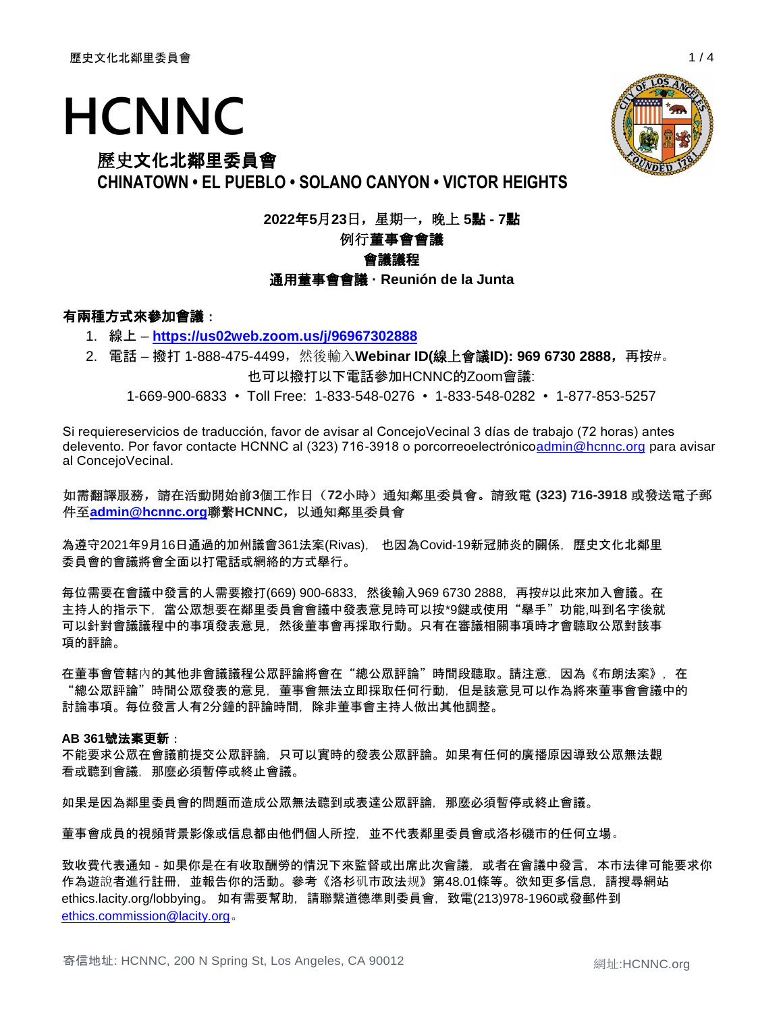# **HCNNC**

# 歷史文化北鄰里委員會

**CHINATOWN • EL PUEBLO • SOLANO CANYON • VICTOR HEIGHTS**

**2022**年**5**月**23**日,星期一,晚上 **5**點 **- 7**點

# 例行董事會會議

# 會議議程

通用董事會會議 **· Reunión de la Junta**

# 有兩種方式來參加會議:

- 1. 線上 **<https://us02web.zoom.us/j/96967302888>**
- 2. 電話 撥打 1-888-475-4499,然後輸入**Webinar ID(**線上會議**ID): 969 6730 2888**,再按#。

也可以撥打以下電話參加HCNNC的Zoom會議:

1-669-900-6833 • Toll Free: 1-833-548-0276 • 1-833-548-0282 • 1-877-853-5257

Si requiereservicios de traducción, favor de avisar al ConcejoVecinal 3 días de trabajo (72 horas) antes delevento. Por favor contacte HCNNC al (323) 716-3918 o porcorreoelectrónic[oadmin@hcnnc.org](mailto:admin@hcnnc.org) para avisar al ConcejoVecinal.

# 如需翻譯服務,請在活動開始前**3**個工作日(**72**小時)通知鄰里委員會。請致電 **(323) 716-3918** 或發送電子郵 件至**[admin@hcnnc.org](mailto:admin@hcnnc.org)**聯繫**HCNNC**,以通知鄰里委員會

為遵守2021年9月16日通過的加州議會361法案(Rivas), 也因為Covid-19新冠肺炎的關係,歷史文化北鄰里 委員會的會議將會全面以打電話或網絡的方式舉行。

每位需要在會議中發言的人需要撥打(669) 900-6833,然後輸入969 6730 2888,再按#以此來加入會議。在 主持人的指示下,當公眾想要在鄰里委員會會議中發表意見時可以按\*9鍵或使用"舉手"功能,叫到名字後就 可以針對會議議程中的事項發表意見,然後董事會再採取行動。只有在審議相關事項時才會聽取公眾對該事 項的評論。

在董事會管轄內的其他非會議議程公眾評論將會在"總公眾評論"時間段聽取。請注意,因為《布朗法案》,在 "總公眾評論"時間公眾發表的意見,董事會無法立即採取任何行動,但是該意見可以作為將來董事會會議中的 討論事項。每位發言人有2分鐘的評論時間,除非董事會主持人做出其他調整。

## **AB 361**號法案更新:

不能要求公眾在會議前提交公眾評論,只可以實時的發表公眾評論。如果有任何的廣播原因導致公眾無法觀 看或聽到會議,那麼必須暫停或終止會議。

如果是因為鄰里委員會的問題而造成公眾無法聽到或表達公眾評論,那麼必須暫停或終止會議。

董事會成員的視頻背景影像或信息都由他們個人所控,並不代表鄰里委員會或洛杉磯市的任何立場。

致收費代表通知 - 如果你是在有收取酬勞的情況下來監督或出席此次會議,或者在會議中發言,本市法律可能要求你 作為遊說者進行註冊,並報告你的活動。參考《洛杉矶市政法规》第48.01條等。欲知更多信息,請搜尋網站 ethics.lacity.org/lobbying。 如有需要幫助,請聯繫道德準則委員會,致電(213)978-1960或發郵件到 [ethics.commission@lacity.org](mailto:ethics.commission@lacity.org)。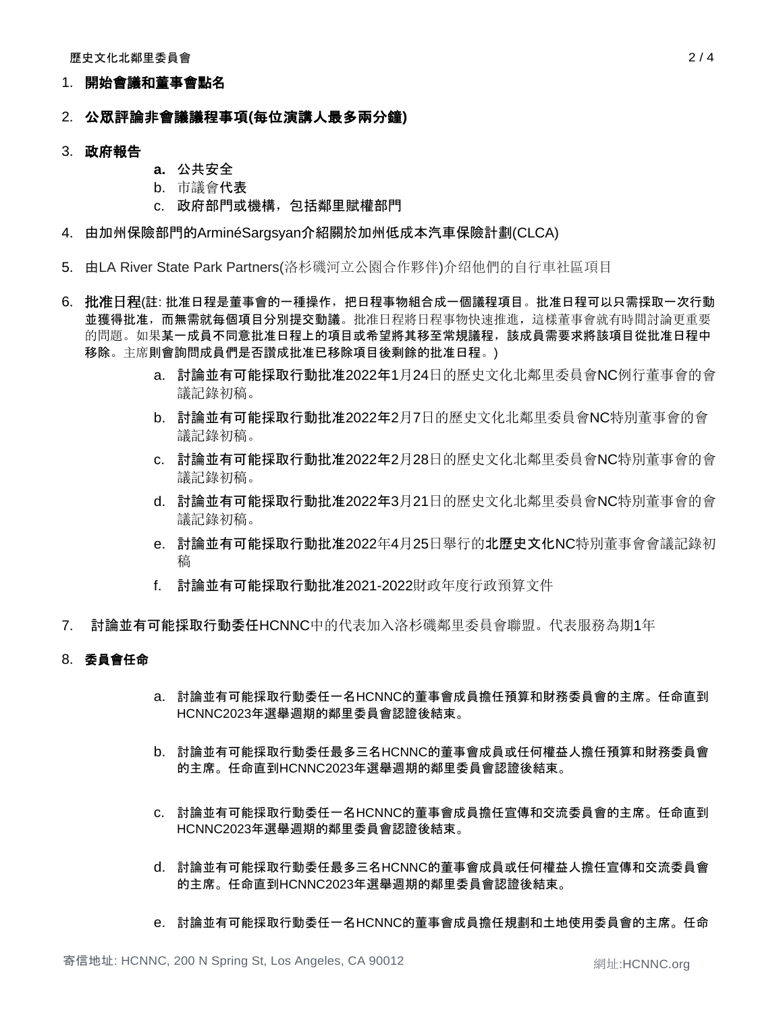## 1. 開始會議和董事會點名

# 2. 公眾評論非會議議程事項**(**每位演講人最多兩分鐘**)**

## 3. 政府報告

- **a.** 公共安全
- b. 市議會代表
- c. 政府部門或機構,包括鄰里賦權部門
- 4. 由加州保險部門的ArminéSargsyan介紹關於加州低成本汽車保險計劃(CLCA)
- 5. 由LA River State Park Partners(洛杉磯河立公園合作夥伴)介绍他們的自行車社區項目
- 6. 批准日程(註: 批准日程是董事會的一種操作,把日程事物組合成一個議程項目。批准日程可以只需採取一次行動 並獲得批准,而無需就每個項目分別提交動議。批准日程將日程事物快速推進,這樣董事會就有時間討論更重要 的問題。如果某一成員不同意批准日程上的項目或希望將其移至常規議程,該成員需要求將該項目從批准日程中 移除。主席則會詢問成員們是否讚成批准已移除項目後剩餘的批准日程。)
	- a. 討論並有可能採取行動批准2022年1月24日的歷史文化北鄰里委員會NC例行董事會的會 議記錄初稿。
	- b. 討論並有可能採取行動批准2022年2月7日的歷史文化北鄰里委員會NC特別董事會的會 議記錄初稿。
	- c. 討論並有可能採取行動批准2022年2月28日的歷史文化北鄰里委員會NC特別董事會的會 議記錄初稿。
	- d. 討論並有可能採取行動批准2022年3月21日的歷史文化北鄰里委員會NC特別董事會的會 議記錄初稿。
	- e. 討論並有可能採取行動批准2022年4月25日舉行的北歷史文化NC特別董事會會議記錄初 稿
	- f. 討論並有可能採取行動批准2021-2022財政年度行政預算文件
- 7. 討論並有可能採取行動委任HCNNC中的代表加入洛杉磯鄰里委員會聯盟。代表服務為期1年

## 8. 委員會任命

- a. 討論並有可能採取行動委任一名HCNNC的董事會成員擔任預算和財務委員會的主席。任命直到 HCNNC2023年選舉週期的鄰里委員會認證後結束。
- b. 討論並有可能採取行動委任最多三名HCNNC的董事會成員或任何權益人擔任預算和財務委員會 的主席。任命直到HCNNC2023年選舉週期的鄰里委員會認證後結束。
- c. 討論並有可能採取行動委任一名HCNNC的董事會成員擔任宣傳和交流委員會的主席。任命直到 HCNNC2023年選舉週期的鄰里委員會認證後結束。
- d. 討論並有可能採取行動委任最多三名HCNNC的董事會成員或任何權益人擔任宣傳和交流委員會 的主席。任命直到HCNNC2023年選舉週期的鄰里委員會認證後結束。
- e. 討論並有可能採取行動委任一名HCNNC的董事會成員擔任規劃和土地使用委員會的主席。任命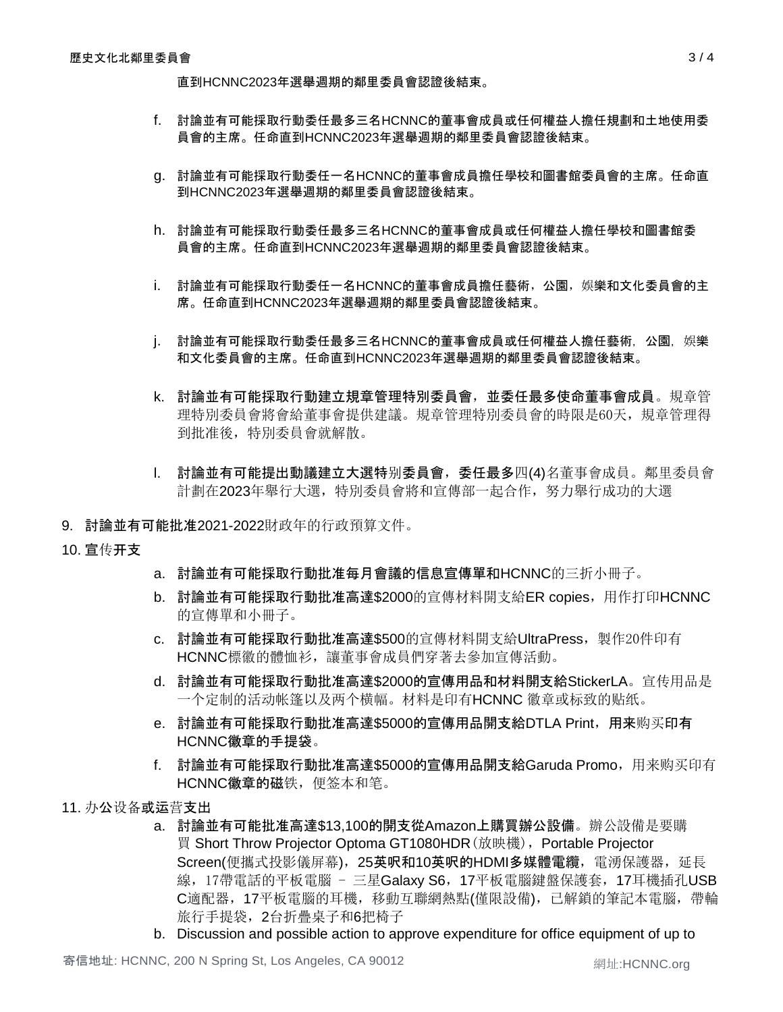直到HCNNC2023年選舉週期的鄰里委員會認證後結束。

- f. 討論並有可能採取行動委任最多三名HCNNC的董事會成員或任何權益人擔任規劃和土地使用委 員會的主席。任命直到HCNNC2023年選舉週期的鄰里委員會認證後結束。
- g. 討論並有可能採取行動委任一名HCNNC的董事會成員擔任學校和圖書館委員會的主席。任命直 到HCNNC2023年選舉週期的鄰里委員會認證後結束。
- h. 討論並有可能採取行動委任最多三名HCNNC的董事會成員或任何權益人擔任學校和圖書館委 員會的主席。任命直到HCNNC2023年選舉週期的鄰里委員會認證後結束。
- i. 討論並有可能採取行動委任一名HCNNC的董事會成員擔任藝術,公園,娛樂和文化委員會的主 席。任命直到HCNNC2023年選舉週期的鄰里委員會認證後結束。
- j. 討論並有可能採取行動委任最多三名HCNNC的董事會成員或任何權益人擔任藝術,公園,娛樂 和文化委員會的主席。任命直到HCNNC2023年選舉週期的鄰里委員會認證後結束。
- k. 討論並有可能採取行動建立規章管理特別委員會,並委任最多使命董事會成員。規章管 理特別委員會將會給董事會提供建議。規章管理特別委員會的時限是60天,規章管理得 到批准後,特別委員會就解散。
- l. 討論並有可能提出動議建立大選特别委員會,委任最多四(4)名董事會成員。鄰里委員會 計劃在2023年舉行大選,特別委員會將和宣傳部一起合作,努力舉行成功的大選
- 9. 討論並有可能批准2021-2022財政年的行政預算文件。
- 10. 宣传开支
- a. 討論並有可能採取行動批准每月會議的信息宣傳單和HCNNC的三折小冊子。
- b. 討論並有可能採取行動批准高達\$2000的宣傳材料開支給ER copies, 用作打印HCNNC 的宣傳單和小冊子。
- c. 討論並有可能採取行動批准高達\$500的宣傳材料開支給UltraPress,製作20件印有 HCNNC標徽的體恤衫,讓董事會成員們穿著去參加宣傳活動。
- d. 討論並有可能採取行動批准高達\$2000的宣傳用品和材料開支給StickerLA。宣传用品是 一个定制的活动帐篷以及两个横幅。材料是印有HCNNC 徽章或标致的贴纸。
- e. 討論並有可能採取行動批准高達\$5000的宣傳用品開支給DTLA Print,用来购买印有 HCNNC徽章的手提袋。
- f. 討論並有可能採取行動批准高達\$5000的宣傳用品開支給Garuda Promo,用来购买印有 HCNNC徽章的磁铁,便签本和笔。
- 11. 办公设备或运营支出
	- a. 討論並有可能批准高達\$13,100的開支從Amazon上購買辦公設備。辦公設備是要購 買 Short Throw Projector Optoma GT1080HDR(放映機),Portable Projector Screen(便攜式投影儀屏幕), 25英呎和10英呎的HDMI多媒體電纜, 電湧保護器, 延長 線, 17帶電話的平板電腦 - 三星Galaxy S6, 17平板電腦鍵盤保護套, 17耳機插孔USB C適配器,17平板電腦的耳機,移動互聯網熱點(僅限設備),已解鎖的筆記本電腦,帶輪 旅行手提袋,2台折疊桌子和6把椅子
	- b. Discussion and possible action to approve expenditure for office equipment of up to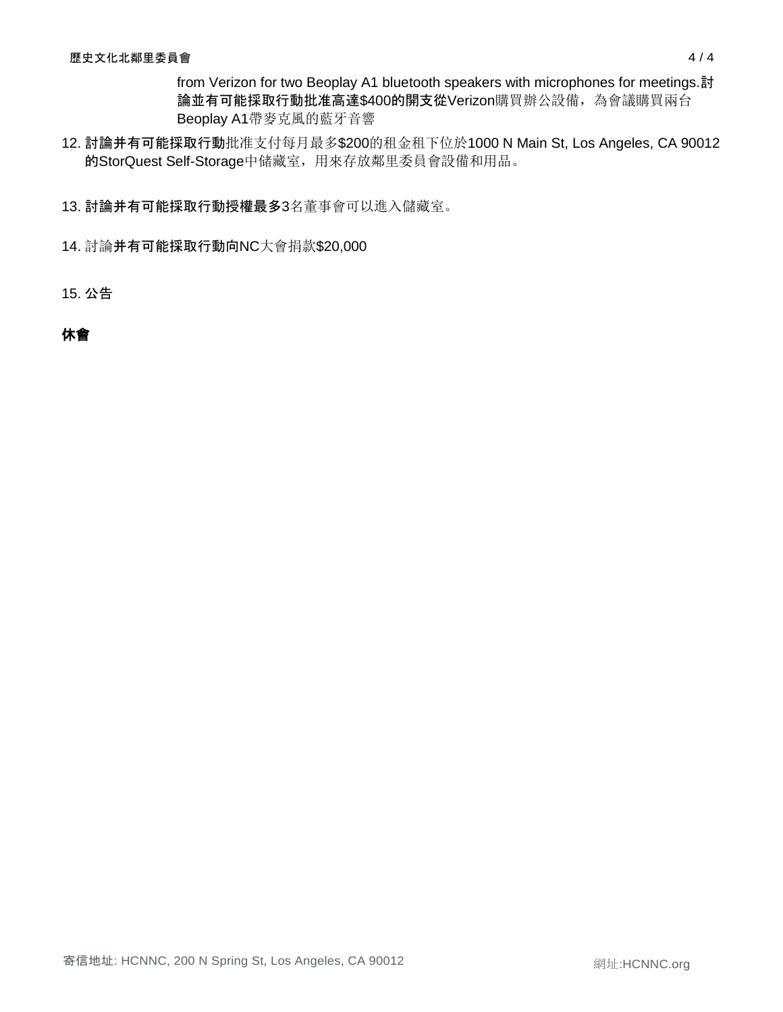from Verizon for two Beoplay A1 bluetooth speakers with microphones for meetings.討 論並有可能採取行動批准高達\$400的開支從Verizon購買辦公設備,為會議購買兩台 Beoplay A1帶麥克風的藍牙音響

12. 討論并有可能採取行動批准支付每月最多\$200的租金租下位於1000 N Main St, Los Angeles, CA 90012 的StorQuest Self-Storage中储藏室,用來存放鄰里委員會設備和用品。

13. 討論并有可能採取行動授權最多3名董事會可以進入儲藏室。

14. 討論并有可能採取行動向NC大會捐款\$20,000

15. 公告

# 休會